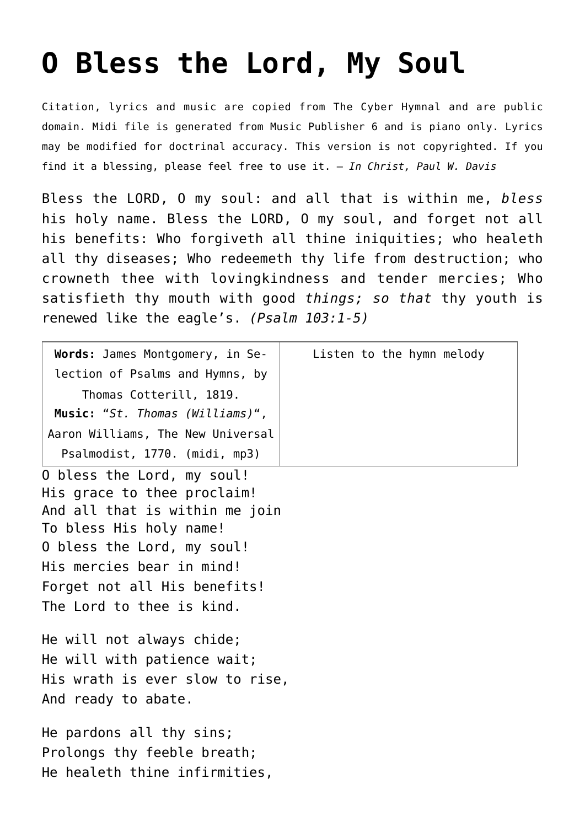## **[O Bless the Lord, My Soul](http://reproachofmen.org/hymns-and-music/o-bless-the-lord-my-soul/)**

Citation, lyrics and music are copied from [The Cyber Hymnal](http://www.hymntime.com/tch/index.htm) and are public domain. Midi file is generated from Music Publisher 6 and is piano only. Lyrics may be modified for doctrinal accuracy. This version is not copyrighted. If you find it a blessing, please feel free to use it. — *In Christ, Paul W. Davis*

Bless the LORD, O my soul: and all that is within me, *bless* his holy name. Bless the LORD, O my soul, and forget not all his benefits: Who forgiveth all thine iniquities; who healeth all thy diseases; Who redeemeth thy life from destruction; who crowneth thee with lovingkindness and tender mercies; Who satisfieth thy mouth with good *things; so that* thy youth is renewed like the eagle's. *(Psalm 103:1-5)*

| Words: James Montgomery, in Se-                                                                                                                                                                                                                | Listen to the hymn melody |
|------------------------------------------------------------------------------------------------------------------------------------------------------------------------------------------------------------------------------------------------|---------------------------|
| lection of Psalms and Hymns, by                                                                                                                                                                                                                |                           |
| Thomas Cotterill, 1819.                                                                                                                                                                                                                        |                           |
| Music: "St. Thomas (Williams)",                                                                                                                                                                                                                |                           |
| Aaron Williams, The New Universal                                                                                                                                                                                                              |                           |
| Psalmodist, 1770. (midi, mp3)                                                                                                                                                                                                                  |                           |
| O bless the Lord, my soul!<br>His grace to thee proclaim!<br>And all that is within me join<br>To bless His holy name!<br>O bless the Lord, my soul!<br>His mercies bear in mind!<br>Forget not all His benefits!<br>The Lord to thee is kind. |                           |
| He will not always chide;<br>He will with patience wait;<br>His wrath is ever slow to rise,<br>And ready to abate.                                                                                                                             |                           |
| He pardons all thy sins;<br>Prolongs thy feeble breath;<br>He healeth thine infirmities,                                                                                                                                                       |                           |